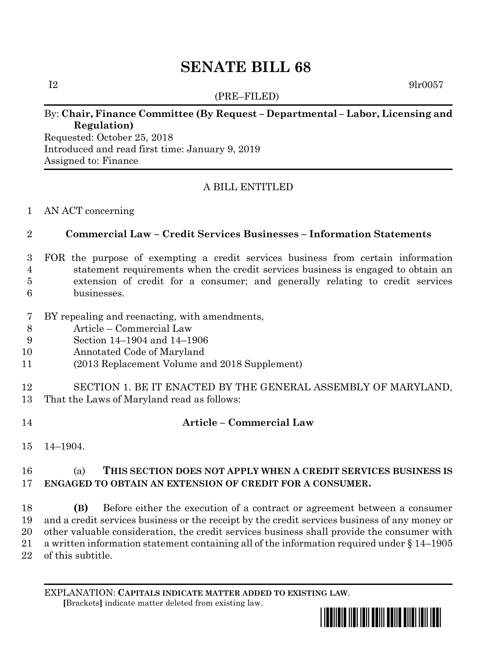# **SENATE BILL 68**

(PRE–FILED)

 $I2 \t\t 9lr0057$ 

#### By: **Chair, Finance Committee (By Request – Departmental – Labor, Licensing and Regulation)**

Requested: October 25, 2018 Introduced and read first time: January 9, 2019 Assigned to: Finance

## A BILL ENTITLED

#### AN ACT concerning

#### **Commercial Law – Credit Services Businesses – Information Statements**

- FOR the purpose of exempting a credit services business from certain information statement requirements when the credit services business is engaged to obtain an extension of credit for a consumer; and generally relating to credit services businesses.
- BY repealing and reenacting, with amendments,
- Article Commercial Law
- Section 14–1904 and 14–1906
- Annotated Code of Maryland
- (2013 Replacement Volume and 2018 Supplement)
- SECTION 1. BE IT ENACTED BY THE GENERAL ASSEMBLY OF MARYLAND, That the Laws of Maryland read as follows:
- **Article – Commercial Law**
- 14–1904.

## (a) **THIS SECTION DOES NOT APPLY WHEN A CREDIT SERVICES BUSINESS IS ENGAGED TO OBTAIN AN EXTENSION OF CREDIT FOR A CONSUMER.**

 **(B)** Before either the execution of a contract or agreement between a consumer and a credit services business or the receipt by the credit services business of any money or other valuable consideration, the credit services business shall provide the consumer with a written information statement containing all of the information required under § 14–1905 of this subtitle.

EXPLANATION: **CAPITALS INDICATE MATTER ADDED TO EXISTING LAW**.  **[**Brackets**]** indicate matter deleted from existing law.

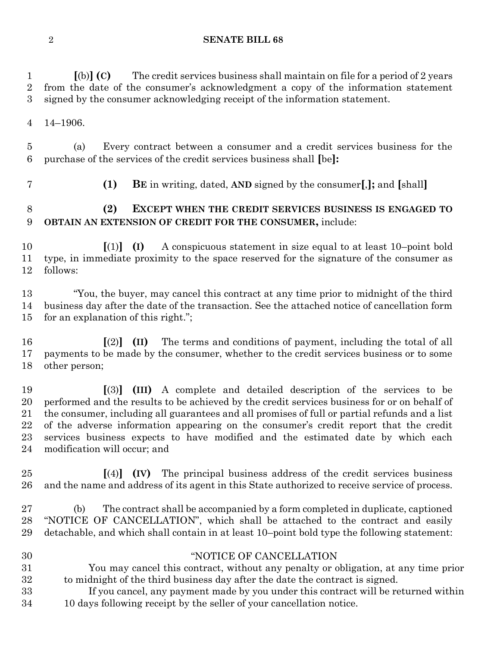**SENATE BILL 68**

 **[**(b)**] (C)** The credit services business shall maintain on file for a period of 2 years from the date of the consumer's acknowledgment a copy of the information statement signed by the consumer acknowledging receipt of the information statement. 14–1906. (a) Every contract between a consumer and a credit services business for the purchase of the services of the credit services business shall **[**be**]: (1) BE** in writing, dated, **AND** signed by the consumer**[**,**];** and **[**shall**] (2) EXCEPT WHEN THE CREDIT SERVICES BUSINESS IS ENGAGED TO OBTAIN AN EXTENSION OF CREDIT FOR THE CONSUMER,** include: **[**(1)**] (I)** A conspicuous statement in size equal to at least 10–point bold type, in immediate proximity to the space reserved for the signature of the consumer as follows: "You, the buyer, may cancel this contract at any time prior to midnight of the third business day after the date of the transaction. See the attached notice of cancellation form for an explanation of this right."; **[**(2)**] (II)** The terms and conditions of payment, including the total of all payments to be made by the consumer, whether to the credit services business or to some other person; **[**(3)**] (III)** A complete and detailed description of the services to be performed and the results to be achieved by the credit services business for or on behalf of the consumer, including all guarantees and all promises of full or partial refunds and a list of the adverse information appearing on the consumer's credit report that the credit services business expects to have modified and the estimated date by which each modification will occur; and **[**(4)**] (IV)** The principal business address of the credit services business and the name and address of its agent in this State authorized to receive service of process. (b) The contract shall be accompanied by a form completed in duplicate, captioned "NOTICE OF CANCELLATION", which shall be attached to the contract and easily detachable, and which shall contain in at least 10–point bold type the following statement: "NOTICE OF CANCELLATION You may cancel this contract, without any penalty or obligation, at any time prior to midnight of the third business day after the date the contract is signed. If you cancel, any payment made by you under this contract will be returned within 10 days following receipt by the seller of your cancellation notice.